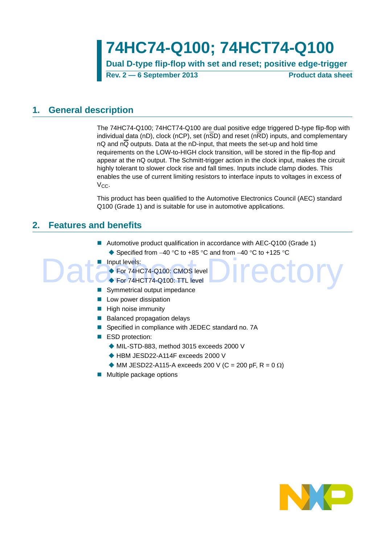**74HC74-Q100; 74HCT74-Q100**

**Dual D-type flip-flop with set and reset; positive edge-trigger Rev. 2 — 6 September 2013 Product data sheet**

## <span id="page-0-0"></span>**1. General description**

The 74HC74-Q100; 74HCT74-Q100 are dual positive edge triggered D-type flip-flop with individual data (nD), clock (nCP), set (n $\overline{SD}$ ) and reset (n $\overline{RD}$ ) inputs, and complementary nQ and nQ outputs. Data at the nD-input, that meets the set-up and hold time requirements on the LOW-to-HIGH clock transition, will be stored in the flip-flop and appear at the nQ output. The Schmitt-trigger action in the clock input, makes the circuit highly tolerant to slower clock rise and fall times. Inputs include clamp diodes. This enables the use of current limiting resistors to interface inputs to voltages in excess of  $V_{CC}$ .

This product has been qualified to the Automotive Electronics Council (AEC) standard Q100 (Grade 1) and is suitable for use in automotive applications.

Irector

## <span id="page-0-1"></span>**2. Features and benefits**

- Automotive product qualification in accordance with AEC-Q100 (Grade 1)  $\triangle$  Specified from -40 °C to +85 °C and from -40 °C to +125 °C
- **Input levels:**

For 74HC74-Q100: CMOS level

- For 74HCT74-Q100: TTL level
- Symmetrical output impedance
- $\blacksquare$  Low power dissipation
- $\blacksquare$  High noise immunity
- Balanced propagation delays
- Specified in compliance with JEDEC standard no. 7A
- ESD protection:
	- MIL-STD-883, method 3015 exceeds 2000 V
	- ◆ HBM JESD22-A114F exceeds 2000 V
	- $\blacklozenge$  MM JESD22-A115-A exceeds 200 V (C = 200 pF, R = 0  $\Omega$ )
- **Multiple package options**

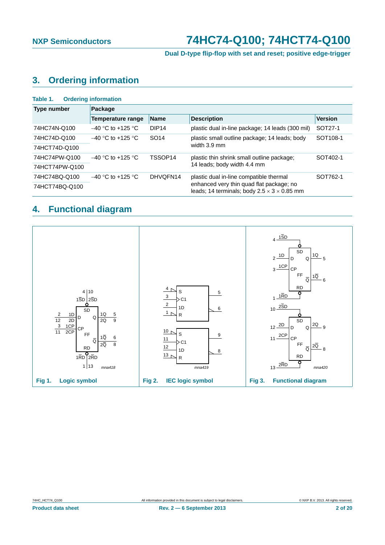## **Dual D-type flip-flop with set and reset; positive edge-trigger**

## <span id="page-1-0"></span>**3. Ordering information**

| <b>Ordering information</b><br>Table 1. |                                 |                   |                                                                                                     |                      |  |  |  |  |  |
|-----------------------------------------|---------------------------------|-------------------|-----------------------------------------------------------------------------------------------------|----------------------|--|--|--|--|--|
| Type number                             | Package                         |                   |                                                                                                     |                      |  |  |  |  |  |
|                                         | <b>Temperature range</b>        | <b>Name</b>       | <b>Description</b>                                                                                  | <b>Version</b>       |  |  |  |  |  |
| 74HC74N-Q100                            | $-40$ °C to +125 °C             | DIP <sub>14</sub> | plastic dual in-line package; 14 leads (300 mil)                                                    | SOT27-1              |  |  |  |  |  |
| 74HC74D-Q100                            | $-40$ °C to +125 °C             | SO <sub>14</sub>  | plastic small outline package; 14 leads; body                                                       | SOT <sub>108-1</sub> |  |  |  |  |  |
| 74HCT74D-Q100                           |                                 |                   | width 3.9 mm                                                                                        |                      |  |  |  |  |  |
| 74HC74PW-Q100                           | $-40$ °C to +125 °C             | TSSOP14           | plastic thin shrink small outline package;                                                          | SOT402-1             |  |  |  |  |  |
| 74HCT74PW-Q100                          |                                 |                   | 14 leads; body width 4.4 mm                                                                         |                      |  |  |  |  |  |
| 74HC74BQ-Q100                           | DHVOFN14<br>$-40$ °C to +125 °C |                   | plastic dual in-line compatible thermal                                                             | SOT762-1             |  |  |  |  |  |
| 74HCT74BQ-Q100                          |                                 |                   | enhanced very thin quad flat package; no<br>leads; 14 terminals; body $2.5 \times 3 \times 0.85$ mm |                      |  |  |  |  |  |

## <span id="page-1-1"></span>**4. Functional diagram**

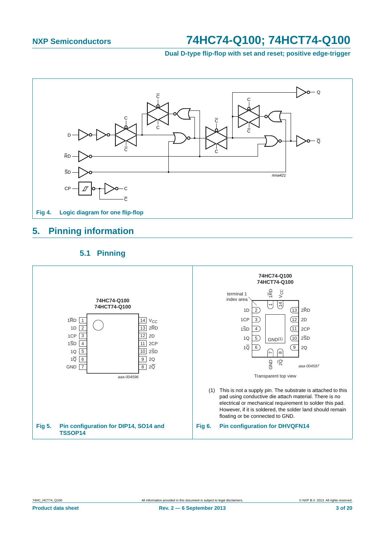**Dual D-type flip-flop with set and reset; positive edge-trigger**



## <span id="page-2-0"></span>**5. Pinning information**

## **5.1 Pinning**

<span id="page-2-1"></span>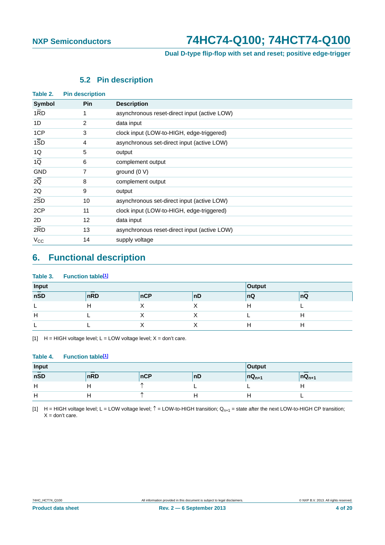## **Dual D-type flip-flop with set and reset; positive edge-trigger**

## **5.2 Pin description**

<span id="page-3-2"></span>

| Table 2.         | <b>Pin description</b> |                                              |
|------------------|------------------------|----------------------------------------------|
| Symbol           | <b>Pin</b>             | <b>Description</b>                           |
| 1RD              | 1                      | asynchronous reset-direct input (active LOW) |
| 1D               | 2                      | data input                                   |
| 1CP              | 3                      | clock input (LOW-to-HIGH, edge-triggered)    |
| $1\overline{SD}$ | 4                      | asynchronous set-direct input (active LOW)   |
| 1Q               | 5                      | output                                       |
| $1\overline{Q}$  | 6                      | complement output                            |
| <b>GND</b>       | 7                      | ground $(0 V)$                               |
| $2\overline{Q}$  | 8                      | complement output                            |
| 2Q               | 9                      | output                                       |
| 2SD              | 10                     | asynchronous set-direct input (active LOW)   |
| 2CP              | 11                     | clock input (LOW-to-HIGH, edge-triggered)    |
| 2D               | $12 \overline{ }$      | data input                                   |
| 2RD              | 13                     | asynchronous reset-direct input (active LOW) |
| $V_{\rm CC}$     | 14                     | supply voltage                               |
|                  |                        |                                              |

## <span id="page-3-3"></span>**6. Functional description**

#### Table 3. Function table<sup>[1]</sup>

| Input |     | Output |    |     |    |
|-------|-----|--------|----|-----|----|
| nSD   | nRD | nCP    | nD | ∣nQ | nQ |
|       |     |        |    |     |    |
| н     |     |        |    |     |    |
|       |     |        |    |     |    |

<span id="page-3-0"></span>[1]  $H = HIGH$  voltage level;  $L = LOW$  voltage level;  $X = don't$  care.

#### Table 4. Function table<sup>[1]</sup>

| Input |     | Output |    |              |            |
|-------|-----|--------|----|--------------|------------|
| nSD   | nRD | nCP    | nD | $ nQ_{n+1} $ | $nQ_{n+1}$ |
| Н     |     |        |    |              |            |
| Н     |     |        |    |              |            |

<span id="page-3-1"></span>[1] H = HIGH voltage level; L = LOW voltage level;  $\hat{T}$  = LOW-to-HIGH transition; Q<sub>n+1</sub> = state after the next LOW-to-HIGH CP transition;  $X =$  don't care.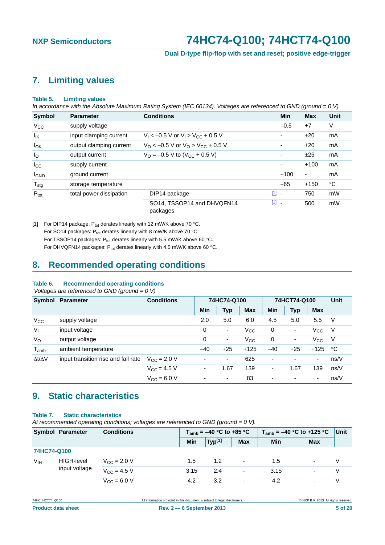**Dual D-type flip-flop with set and reset; positive edge-trigger**

## <span id="page-4-1"></span>**7. Limiting values**

#### **Table 5. Limiting values**

*In accordance with the Absolute Maximum Rating System (IEC 60134). Voltages are referenced to GND (ground = 0 V).*

| <b>Symbol</b>    | <b>Parameter</b>        | <b>Conditions</b>                                             | <b>Min</b> | <b>Max</b>     | Unit |
|------------------|-------------------------|---------------------------------------------------------------|------------|----------------|------|
| $V_{CC}$         | supply voltage          |                                                               | $-0.5$     | $+7$           | V    |
| $I_{IK}$         | input clamping current  | $V_1 < -0.5$ V or $V_1 > V_{CC} + 0.5$ V                      |            | ±20            | mA   |
| $I_{OK}$         | output clamping current | $V_{\rm O}$ < -0.5 V or $V_{\rm O}$ > V <sub>CC</sub> + 0.5 V |            | ±20            | mA   |
| $I_{\rm O}$      | output current          | $V_{\text{O}} = -0.5 \text{ V}$ to (V <sub>CC</sub> + 0.5 V)  | ۰          | ±25            | mA   |
| $I_{\rm CC}$     | supply current          |                                                               | ۰          | $+100$         | mA   |
| <b>I</b> GND     | ground current          |                                                               | $-100$     | $\blacksquare$ | mA   |
| $T_{\text{stg}}$ | storage temperature     |                                                               | $-65$      | $+150$         | °C   |
| $P_{\text{tot}}$ | total power dissipation | DIP14 package                                                 | $11 -$     | 750            | mW   |
|                  |                         | SO14, TSSOP14 and DHVQFN14<br>packages                        | $11 -$     | 500            | mW   |

<span id="page-4-0"></span>[1] For DIP14 package:  $P_{tot}$  derates linearly with 12 mW/K above 70 °C. For SO14 packages:  $P_{tot}$  derates linearly with 8 mW/K above 70 °C. For TSSOP14 packages:  $P_{tot}$  derates linearly with 5.5 mW/K above 60 °C. For DHVQFN14 packages:  $P_{tot}$  derates linearly with 4.5 mW/K above 60 °C.

## <span id="page-4-2"></span>**8. Recommended operating conditions**

#### **Table 6. Recommended operating conditions**

 *Voltages are referenced to GND (ground = 0 V)*

| Symbol              | Parameter                           | <b>Conditions</b>    | 74HC74-Q100              |                          |            | 74HCT74-Q100 |                          |                          | <b>Unit</b> |
|---------------------|-------------------------------------|----------------------|--------------------------|--------------------------|------------|--------------|--------------------------|--------------------------|-------------|
|                     |                                     |                      | Min                      | <b>Typ</b>               | <b>Max</b> | <b>Min</b>   | <b>Typ</b>               | <b>Max</b>               |             |
| $V_{CC}$            | supply voltage                      |                      | 2.0                      | 5.0                      | 6.0        | 4.5          | 5.0                      | 5.5                      | V           |
| V <sub>1</sub>      | input voltage                       |                      | 0                        | $\overline{\phantom{a}}$ | $V_{CC}$   | 0            | $\overline{\phantom{a}}$ | $V_{\rm CC}$             | - V         |
| $V_{\rm O}$         | output voltage                      |                      | 0                        | $\overline{\phantom{a}}$ | $V_{CC}$   | 0            |                          | $V_{\rm CC}$             | - V         |
| $T_{amb}$           | ambient temperature                 |                      | $-40$                    | $+25$                    | $+125$     | $-40$        | $+25$                    | $+125$                   | °C          |
| $\Delta t/\Delta V$ | input transition rise and fall rate | $V_{\rm CC} = 2.0 V$ | $\blacksquare$           | $\overline{\phantom{0}}$ | 625        | -            | ٠                        | $\overline{\phantom{a}}$ | ns/V        |
|                     |                                     | $V_{\rm CC}$ = 4.5 V | $\overline{\phantom{a}}$ | 1.67                     | 139        | -            | 1.67                     | 139                      | ns/V        |
|                     |                                     | $V_{CC} = 6.0 V$     | $\overline{\phantom{a}}$ | $\overline{\phantom{a}}$ | 83         | ٠            | $\overline{\phantom{a}}$ | ٠                        | ns/V        |

## <span id="page-4-3"></span>**9. Static characteristics**

#### **Table 7. Static characteristics**

*At recommended operating conditions; voltages are referenced to GND (ground = 0 V).*

| Symbol Parameter<br><b>Conditions</b> |                   | $T_{amb}$ = -40 °C to +85 °C |      |                    | $T_{amb} = -40$ °C to +125 °C | Unit |            |   |
|---------------------------------------|-------------------|------------------------------|------|--------------------|-------------------------------|------|------------|---|
|                                       |                   |                              | Min  | Typ <sup>[1]</sup> | <b>Max</b>                    | Min  | <b>Max</b> |   |
| 74HC74-Q100                           |                   |                              |      |                    |                               |      |            |   |
| V <sub>IH</sub>                       | <b>HIGH-level</b> | $V_{\text{C}C} = 2.0 V$      | 1.5  | 1.2                | $\overline{\phantom{a}}$      | 1.5  |            |   |
|                                       | input voltage     | $V_{\rm CC} = 4.5 V$         | 3.15 | 2.4                | $\overline{\phantom{a}}$      | 3.15 |            | V |
|                                       |                   | $V_{C} = 6.0 V$              | 4.2  | 3.2                | $\overline{\phantom{a}}$      | 4.2  |            |   |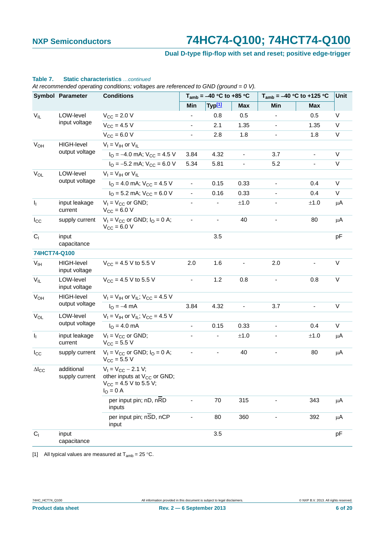## **Dual D-type flip-flop with set and reset; positive edge-trigger**

|                       | <b>Symbol Parameter</b>            | <b>Conditions</b>                                                                                       |                          | $T_{amb} = -40$ °C to +85 °C |                              |                          | $T_{amb}$ = -40 °C to +125 °C | Unit    |
|-----------------------|------------------------------------|---------------------------------------------------------------------------------------------------------|--------------------------|------------------------------|------------------------------|--------------------------|-------------------------------|---------|
|                       |                                    |                                                                                                         | Min                      | Typ <sup>[1]</sup>           | <b>Max</b>                   | Min                      | <b>Max</b>                    |         |
| $V_{IL}$              | LOW-level                          | $V_{\text{CC}} = 2.0 V$                                                                                 |                          | 0.8                          | 0.5                          |                          | 0.5                           | V       |
|                       | input voltage                      | $V_{CC} = 4.5 V$                                                                                        | $\blacksquare$           | 2.1                          | 1.35                         | $\overline{\phantom{0}}$ | 1.35                          | V       |
|                       |                                    | $V_{CC} = 6.0 V$                                                                                        | ٠                        | 2.8                          | 1.8                          |                          | 1.8                           | V       |
| <b>V<sub>OH</sub></b> | <b>HIGH-level</b>                  | $V_I = V_{IH}$ or $V_{IL}$                                                                              |                          |                              |                              |                          |                               |         |
|                       | output voltage                     | $I_{\Omega} = -4.0$ mA; $V_{CC} = 4.5$ V                                                                | 3.84                     | 4.32                         | $\qquad \qquad \blacksquare$ | 3.7                      |                               | V       |
|                       |                                    | $I_{\text{O}} = -5.2 \text{ mA}$ ; $V_{\text{CC}} = 6.0 \text{ V}$                                      | 5.34                     | 5.81                         | $\overline{\phantom{0}}$     | 5.2                      | $\frac{1}{2}$                 | V       |
| $V_{OL}$              | LOW-level                          | $V_1 = V_{1H}$ or $V_{1L}$                                                                              |                          |                              |                              |                          |                               |         |
|                       | output voltage                     | $I_{\text{O}}$ = 4.0 mA; $V_{\text{CC}}$ = 4.5 V                                                        | $\blacksquare$           | 0.15                         | 0.33                         | $\overline{\phantom{a}}$ | 0.4                           | V       |
|                       |                                    | $I_{\text{O}}$ = 5.2 mA; $V_{\text{CC}}$ = 6.0 V                                                        | $\blacksquare$           | 0.16                         | 0.33                         |                          | 0.4                           | V       |
| I <sub>I</sub>        | input leakage<br>current           | $V_1 = V_{CC}$ or GND;<br>$V_{\text{CC}} = 6.0 V$                                                       |                          | $\blacksquare$               | $\pm 1.0$                    |                          | ±1.0                          | μA      |
| $I_{\rm CC}$          | supply current                     | $V_1 = V_{CC}$ or GND; $I_0 = 0$ A;<br>$V_{CC} = 6.0 V$                                                 |                          | -                            | 40                           |                          | 80                            | μA      |
| C <sub>1</sub>        | input<br>capacitance               |                                                                                                         |                          | 3.5                          |                              |                          |                               | pF      |
| 74HCT74-Q100          |                                    |                                                                                                         |                          |                              |                              |                          |                               |         |
| $V_{IH}$              | <b>HIGH-level</b><br>input voltage | $V_{CC}$ = 4.5 V to 5.5 V                                                                               | 2.0                      | 1.6                          |                              | 2.0                      |                               | V       |
| $V_{IL}$              | LOW-level<br>input voltage         | $V_{CC}$ = 4.5 V to 5.5 V                                                                               | ÷.                       | 1.2                          | 0.8                          |                          | 0.8                           | V       |
| $V_{OH}$              | <b>HIGH-level</b>                  | $V_1 = V_{1H}$ or $V_{1L}$ ; $V_{CC} = 4.5$ V                                                           |                          |                              |                              |                          |                               |         |
|                       | output voltage                     | $I_{\rm O} = -4 \, \text{mA}$                                                                           | 3.84                     | 4.32                         | $\overline{\phantom{a}}$     | 3.7                      | $\blacksquare$                | V       |
| <b>V<sub>OL</sub></b> | LOW-level                          | $V_1 = V_{1H}$ or $V_{1L}$ ; $V_{CC} = 4.5$ V                                                           |                          |                              |                              |                          |                               |         |
|                       | output voltage                     | $I_{\rm O} = 4.0 \text{ mA}$                                                                            | $\overline{\phantom{0}}$ | 0.15                         | 0.33                         |                          | 0.4                           | V       |
| Ij.                   | input leakage<br>current           | $V_1 = V_{CC}$ or GND;<br>$V_{\text{CC}} = 5.5 V$                                                       |                          | -                            | $\pm 1.0$                    |                          | ±1.0                          | $\mu$ A |
| $I_{\rm CC}$          | supply current                     | $V_1 = V_{CC}$ or GND; $I_0 = 0$ A;<br>$V_{CC}$ = 5.5 V                                                 |                          |                              | 40                           |                          | 80                            | μA      |
| $\Delta I_{CC}$       | additional<br>supply current       | $V_1 = V_{CC} - 2.1 V;$<br>other inputs at $V_{CC}$ or GND;<br>$V_{CC}$ = 4.5 V to 5.5 V;<br>$IO = 0$ A |                          |                              |                              |                          |                               |         |
|                       |                                    | per input pin; nD, nRD<br>inputs                                                                        |                          | 70                           | 315                          |                          | 343                           | $\mu$ A |
|                       |                                    | per input pin; nSD, nCP<br>input                                                                        |                          | 80                           | 360                          |                          | 392                           | $\mu$ A |
| C <sub>1</sub>        | input<br>capacitance               |                                                                                                         |                          | 3.5                          |                              |                          |                               | pF      |

#### **Table 7. Static characteristics** *…continued*

*At recommended operating conditions; voltages are referenced to GND (ground = 0 V).*

<span id="page-5-0"></span>[1] All typical values are measured at  $T_{amb} = 25 \degree C$ .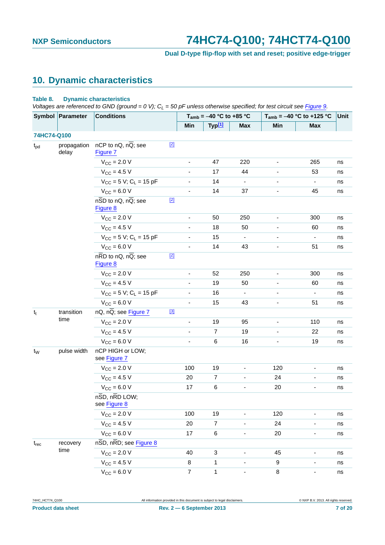## **Dual D-type flip-flop with set and reset; positive edge-trigger**

## <span id="page-6-0"></span>**10. Dynamic characteristics**

#### **Table 8. Dynamic characteristics**

*Voltages are referenced to GND (ground = 0 V); C<sub>i</sub> = 50 pF unless otherwise specified; for test circuit see [Figure 9.](#page-11-0)* 

|              | Symbol Parameter     | $\mathbf{v}$ and $\mathbf{v}$ and $\mathbf{v}$ and $\mathbf{v}$ and $\mathbf{v}$ and $\mathbf{v}$ are $\mathbf{v}$ and $\mathbf{v}$ and $\mathbf{v}$ and $\mathbf{v}$ and $\mathbf{v}$ and $\mathbf{v}$ and $\mathbf{v}$ and $\mathbf{v}$ and $\mathbf{v}$ and $\mathbf{v}$ and $\mathbf{v}$ and<br><b>Conditions</b> |       |                          | $T_{amb} = -40 °C$ to +85 °C |                          |                          | $T_{amb} = -40 °C$ to +125 °C | Unit |
|--------------|----------------------|-----------------------------------------------------------------------------------------------------------------------------------------------------------------------------------------------------------------------------------------------------------------------------------------------------------------------|-------|--------------------------|------------------------------|--------------------------|--------------------------|-------------------------------|------|
|              |                      |                                                                                                                                                                                                                                                                                                                       |       | Min                      | Typ <sup>[1]</sup>           | <b>Max</b>               | Min                      | <b>Max</b>                    |      |
| 74HC74-Q100  |                      |                                                                                                                                                                                                                                                                                                                       |       |                          |                              |                          |                          |                               |      |
| $t_{\rm pd}$ | propagation<br>delay | nCP to nQ, nQ; see<br>Figure 7                                                                                                                                                                                                                                                                                        | $[2]$ |                          |                              |                          |                          |                               |      |
|              |                      | $V_{\text{CC}} = 2.0 V$                                                                                                                                                                                                                                                                                               |       |                          | 47                           | 220                      |                          | 265                           | ns   |
|              |                      | $V_{CC}$ = 4.5 V                                                                                                                                                                                                                                                                                                      |       | $\overline{\phantom{a}}$ | 17                           | 44                       | $\overline{\phantom{a}}$ | 53                            | ns   |
|              |                      | $V_{CC}$ = 5 V; C <sub>L</sub> = 15 pF                                                                                                                                                                                                                                                                                |       |                          | 14                           |                          |                          |                               | ns   |
|              |                      | $V_{CC} = 6.0 V$                                                                                                                                                                                                                                                                                                      |       | $\overline{\phantom{a}}$ | 14                           | 37                       |                          | 45                            | ns   |
|              |                      | $n\overline{SD}$ to nQ, $n\overline{Q}$ ; see<br>Figure 8                                                                                                                                                                                                                                                             | $[2]$ |                          |                              |                          |                          |                               |      |
|              |                      | $V_{\text{CC}} = 2.0 V$                                                                                                                                                                                                                                                                                               |       | $\blacksquare$           | 50                           | 250                      | $\overline{\phantom{a}}$ | 300                           | ns   |
|              |                      | $V_{CC}$ = 4.5 V                                                                                                                                                                                                                                                                                                      |       | $\overline{\phantom{a}}$ | 18                           | 50                       |                          | 60                            | ns   |
|              |                      | $V_{CC}$ = 5 V; C <sub>L</sub> = 15 pF                                                                                                                                                                                                                                                                                |       | $\overline{\phantom{a}}$ | 15                           | $\blacksquare$           |                          | ۰                             | ns   |
|              |                      | $V_{CC}$ = 6.0 V                                                                                                                                                                                                                                                                                                      |       |                          | 14                           | 43                       |                          | 51                            | ns   |
|              |                      | $n\overline{RD}$ to $nQ$ , $n\overline{Q}$ ; see<br>Figure 8                                                                                                                                                                                                                                                          | $[2]$ |                          |                              |                          |                          |                               |      |
|              |                      | $V_{\text{CC}} = 2.0 V$                                                                                                                                                                                                                                                                                               |       | $\overline{\phantom{a}}$ | 52                           | 250                      | $\overline{\phantom{a}}$ | 300                           | ns   |
|              |                      | $V_{CC}$ = 4.5 V                                                                                                                                                                                                                                                                                                      |       |                          | 19                           | 50                       |                          | 60                            | ns   |
|              |                      | $V_{CC}$ = 5 V; C <sub>L</sub> = 15 pF                                                                                                                                                                                                                                                                                |       |                          | 16                           | $\overline{\phantom{a}}$ |                          | $\overline{\phantom{a}}$      | ns   |
|              |                      | $V_{CC} = 6.0 V$                                                                                                                                                                                                                                                                                                      |       |                          | 15                           | 43                       |                          | 51                            | ns   |
| $t_t$        | transition           | $nQ$ , $n\overline{Q}$ ; see Figure 7                                                                                                                                                                                                                                                                                 | $[3]$ |                          |                              |                          |                          |                               |      |
|              | time                 | $V_{\text{CC}}$ = 2.0 V                                                                                                                                                                                                                                                                                               |       | $\blacksquare$           | 19                           | 95                       |                          | 110                           | ns   |
|              |                      | $V_{CC} = 4.5 V$                                                                                                                                                                                                                                                                                                      |       | $\blacksquare$           | $\overline{7}$               | 19                       | $\overline{\phantom{a}}$ | 22                            | ns   |
|              |                      | $V_{CC} = 6.0 V$                                                                                                                                                                                                                                                                                                      |       | $\overline{\phantom{a}}$ | $\,6$                        | 16                       |                          | 19                            | ns   |
| $t_W$        | pulse width          | nCP HIGH or LOW;<br>see Figure 7                                                                                                                                                                                                                                                                                      |       |                          |                              |                          |                          |                               |      |
|              |                      | $V_{\text{CC}} = 2.0 V$                                                                                                                                                                                                                                                                                               |       | 100                      | 19                           |                          | 120                      |                               | ns   |
|              |                      | $V_{\text{CC}} = 4.5 V$                                                                                                                                                                                                                                                                                               |       | 20                       | $\overline{7}$               |                          | 24                       | -                             | ns   |
|              |                      | $V_{\text{CC}} = 6.0 V$                                                                                                                                                                                                                                                                                               |       | 17                       | $\,6$                        |                          | 20                       |                               | ns   |
|              |                      | $n\overline{SD}$ , $n\overline{RD}$ LOW;<br>see Figure 8                                                                                                                                                                                                                                                              |       |                          |                              |                          |                          |                               |      |
|              |                      | $V_{\text{CC}}$ = 2.0 V                                                                                                                                                                                                                                                                                               |       | 100                      | 19                           |                          | 120                      |                               | ns   |
|              |                      | $V_{CC} = 4.5 V$                                                                                                                                                                                                                                                                                                      |       | 20                       | $\overline{7}$               |                          | 24                       | -                             | ns   |
|              |                      | $V_{CC} = 6.0 V$                                                                                                                                                                                                                                                                                                      |       | 17                       | 6                            | ÷,                       | 20                       | $\overline{\phantom{0}}$      | ns   |
| $t_{rec}$    | recovery             | $n\overline{SD}$ , $n\overline{RD}$ ; see Figure 8                                                                                                                                                                                                                                                                    |       |                          |                              |                          |                          |                               |      |
|              | time                 | $V_{CC} = 2.0 V$                                                                                                                                                                                                                                                                                                      |       | 40                       | $\mathbf{3}$                 |                          | 45                       |                               | ns   |
|              |                      | $V_{CC}$ = 4.5 V                                                                                                                                                                                                                                                                                                      |       | 8                        | $\mathbf{1}$                 |                          | 9                        | ۳                             | ns   |
|              |                      | $V_{CC} = 6.0 V$                                                                                                                                                                                                                                                                                                      |       | $\overline{7}$           | $\mathbf{1}$                 |                          | $\bf 8$                  | -                             | ns   |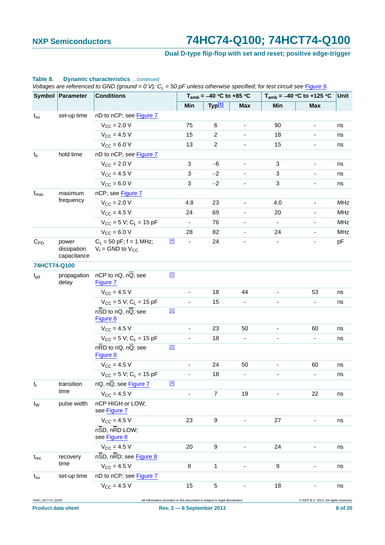## **Dual D-type flip-flop with set and reset; positive edge-trigger**

|                  | Symbol Parameter                    | <b>Conditions</b>                                         |       |                          | $T_{amb} = -40$ °C to +85 °C                                              |                              |                          | $T_{amb} = -40 °C$ to +125 °C         | Unit |
|------------------|-------------------------------------|-----------------------------------------------------------|-------|--------------------------|---------------------------------------------------------------------------|------------------------------|--------------------------|---------------------------------------|------|
|                  |                                     |                                                           |       | Min                      | Typ <sup>[1]</sup>                                                        | <b>Max</b>                   | Min                      | <b>Max</b>                            |      |
| $t_{\rm su}$     | set-up time                         | nD to nCP; see Figure 7                                   |       |                          |                                                                           |                              |                          |                                       |      |
|                  |                                     | $V_{CC}$ = 2.0 V                                          |       | 75                       | 6                                                                         | $\overline{\phantom{0}}$     | 90                       | $\blacksquare$                        | ns   |
|                  |                                     | $V_{CC}$ = 4.5 V                                          |       | 15                       | $\overline{c}$                                                            |                              | 18                       |                                       | ns   |
|                  |                                     | $V_{CC}$ = 6.0 V                                          |       | 13                       | $\overline{c}$                                                            | $\overline{\phantom{0}}$     | 15                       | $\overline{\phantom{a}}$              | ns   |
| $t_h$            | hold time                           | nD to nCP; see Figure 7                                   |       |                          |                                                                           |                              |                          |                                       |      |
|                  |                                     | $V_{\text{CC}} = 2.0 V$                                   |       | 3                        | $-6$                                                                      | $\qquad \qquad \blacksquare$ | 3                        | $\blacksquare$                        | ns   |
|                  |                                     | $V_{\rm CC} = 4.5 V$                                      |       | 3                        | $-2$                                                                      |                              | 3                        |                                       | ns   |
|                  |                                     | $V_{CC}$ = 6.0 V                                          |       | 3                        | $-2$                                                                      | ÷                            | 3                        | $\overline{\phantom{a}}$              | ns   |
| $f_{\text{max}}$ | maximum                             | nCP; see Figure 7                                         |       |                          |                                                                           |                              |                          |                                       |      |
|                  | frequency                           | $V_{CC} = 2.0 V$                                          |       | 4.8                      | 23                                                                        | $\qquad \qquad \blacksquare$ | 4.0                      | $\blacksquare$                        | MHz  |
|                  |                                     | $V_{\rm CC} = 4.5 V$                                      |       | 24                       | 69                                                                        |                              | 20                       |                                       | MHz  |
|                  |                                     | $V_{CC}$ = 5 V; C <sub>L</sub> = 15 pF                    |       | $\overline{\phantom{a}}$ | 76                                                                        |                              | $\blacksquare$           |                                       | MHz  |
|                  |                                     | $V_{CC} = 6.0 V$                                          |       | 28                       | 82                                                                        |                              | 24                       |                                       | MHz  |
| $C_{PD}$         | power<br>dissipation<br>capacitance | $C_1 = 50$ pF; f = 1 MHz;<br>$V_1$ = GND to $V_{CC}$      | $[4]$ | $\overline{\phantom{a}}$ | 24                                                                        |                              | $\overline{\phantom{a}}$ |                                       | pF   |
| 74HCT74-Q100     |                                     |                                                           |       |                          |                                                                           |                              |                          |                                       |      |
| $t_{\rm pd}$     | propagation<br>delay                | nCP to nQ, $n\overline{Q}$ ; see<br>Figure 7              | $[2]$ |                          |                                                                           |                              |                          |                                       |      |
|                  |                                     | $V_{\rm CC} = 4.5 V$                                      |       |                          | 18                                                                        | 44                           | $\overline{\phantom{a}}$ | 53                                    | ns   |
|                  |                                     | $V_{CC}$ = 5 V; C <sub>L</sub> = 15 pF                    |       |                          | 15                                                                        |                              |                          |                                       | ns   |
|                  |                                     | $n\overline{SD}$ to nQ, $n\overline{Q}$ ; see<br>Figure 8 | $[2]$ |                          |                                                                           |                              |                          |                                       |      |
|                  |                                     | $V_{CC} = 4.5 V$                                          |       |                          | 23                                                                        | 50                           |                          | 60                                    | ns   |
|                  |                                     | $V_{CC} = 5 V$ ; C <sub>L</sub> = 15 pF                   |       |                          | 18                                                                        |                              |                          |                                       | ns   |
|                  |                                     | $n\overline{RD}$ to nQ, $n\overline{Q}$ ; see<br>Figure 8 | $[2]$ |                          |                                                                           |                              |                          |                                       |      |
|                  |                                     | $V_{\text{CC}} = 4.5 V$                                   |       | $\overline{\phantom{a}}$ | 24                                                                        | 50                           | ٠                        | 60                                    | ns   |
|                  |                                     | $V_{CC} = 5 V$ ; C <sub>L</sub> = 15 pF                   |       |                          | 18                                                                        |                              |                          |                                       | ns   |
| $t_t$            | transition                          | nQ, nQ; see Figure 7                                      | $[3]$ |                          |                                                                           |                              |                          |                                       |      |
|                  | time                                | $V_{CC} = 4.5 V$                                          |       |                          | $\overline{7}$                                                            | 19                           |                          | 22                                    | ns   |
| $t_{W}$          | pulse width                         | nCP HIGH or LOW;<br>see Figure 7                          |       |                          |                                                                           |                              |                          |                                       |      |
|                  |                                     | $V_{CC} = 4.5 V$                                          |       | 23                       | 9                                                                         |                              | 27                       |                                       | ns   |
|                  |                                     | nSD, nRD LOW;<br>see Figure 8                             |       |                          |                                                                           |                              |                          |                                       |      |
|                  |                                     | $V_{CC} = 4.5 V$                                          |       | 20                       | 9                                                                         |                              | 24                       | ۰                                     | ns   |
| $t_{rec}$        | recovery                            | nSD, nRD; see Figure 8                                    |       |                          |                                                                           |                              |                          |                                       |      |
|                  | time                                | $V_{CC} = 4.5 V$                                          |       | 8                        | 1                                                                         |                              | 9                        |                                       | ns   |
| $t_{\rm su}$     | set-up time                         | nD to nCP; see Figure 7                                   |       |                          |                                                                           |                              |                          |                                       |      |
|                  |                                     | $V_{CC} = 4.5 V$                                          |       | 15                       | 5                                                                         |                              | 18                       |                                       | ns   |
| 74HC_HCT74_Q100  |                                     |                                                           |       |                          | All information provided in this document is subject to legal disclaimers |                              |                          | @ NXP B.V. 2013. All rights reserved. |      |

#### **Table 8. Dynamic characteristics** *…continued*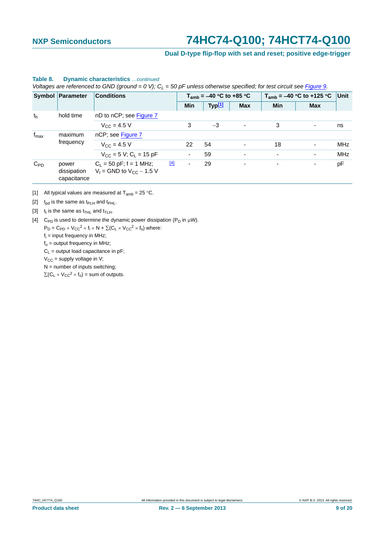## **Dual D-type flip-flop with set and reset; positive edge-trigger**

| $\mathbf{v}$ and $\mathbf{v}$ are not one one of $\mathbf{v}$ and $\mathbf{v}$ are $\mathbf{v}$ and $\mathbf{v}$ and $\mathbf{v}$ and $\mathbf{v}$ and $\mathbf{v}$ and $\mathbf{v}$ and $\mathbf{v}$ and $\mathbf{v}$ and $\mathbf{v}$ and $\mathbf{v}$ and $\mathbf{v}$ and $\mathbf{v}$ an |                                     |                                                              |       |                              |                    |                          |                               |                          |            |
|-----------------------------------------------------------------------------------------------------------------------------------------------------------------------------------------------------------------------------------------------------------------------------------------------|-------------------------------------|--------------------------------------------------------------|-------|------------------------------|--------------------|--------------------------|-------------------------------|--------------------------|------------|
|                                                                                                                                                                                                                                                                                               | Symbol Parameter                    | <b>Conditions</b>                                            |       | $T_{amb}$ = -40 °C to +85 °C |                    |                          | $T_{amb} = -40 °C$ to +125 °C | Unit                     |            |
|                                                                                                                                                                                                                                                                                               |                                     |                                                              |       | Min                          | Typ <sup>[1]</sup> | <b>Max</b>               | <b>Min</b>                    | <b>Max</b>               |            |
| hold time<br>th                                                                                                                                                                                                                                                                               |                                     | nD to nCP; see Figure 7                                      |       |                              |                    |                          |                               |                          |            |
|                                                                                                                                                                                                                                                                                               |                                     | $V_{\rm CC} = 4.5 V$                                         |       | 3                            | $-3$               | $\overline{\phantom{a}}$ | 3                             |                          | ns         |
| $f_{\text{max}}$<br>maximum                                                                                                                                                                                                                                                                   |                                     | nCP; see Figure 7                                            |       |                              |                    |                          |                               |                          |            |
|                                                                                                                                                                                                                                                                                               | frequency                           | $V_{\rm CC} = 4.5 V$                                         |       | 22                           | 54                 | $\blacksquare$           | 18                            | $\overline{\phantom{a}}$ | <b>MHz</b> |
|                                                                                                                                                                                                                                                                                               |                                     | $V_{CC}$ = 5 V; C <sub>L</sub> = 15 pF                       |       | ۰.                           | 59                 | $\overline{\phantom{a}}$ | $\blacksquare$                | -                        | MHz        |
| $C_{PD}$                                                                                                                                                                                                                                                                                      | power<br>dissipation<br>capacitance | $C_1 = 50$ pF; f = 1 MHz;<br>$V_1$ = GND to $V_{CC}$ – 1.5 V | $[4]$ | ٠                            | 29                 | ٠                        | $\overline{\phantom{a}}$      | ۰                        | pF         |

#### **Table 8. Dynamic characteristics** *…continued*

*Voltages are referenced to GND (ground = 0 V); C<sub>i</sub> = 50 pF unless otherwise specified; for test circuit see Figure 9.* 

<span id="page-8-0"></span>[1] All typical values are measured at  $T_{amb} = 25 \degree C$ .

<span id="page-8-1"></span>[2]  $t_{\text{pd}}$  is the same as  $t_{\text{PLH}}$  and  $t_{\text{PHL}}$ .

<span id="page-8-2"></span>[3]  $t_t$  is the same as  $t_{\text{THL}}$  and  $t_{\text{TLH}}$ .

<span id="page-8-3"></span>[4] C<sub>PD</sub> is used to determine the dynamic power dissipation ( $P_D$  in  $\mu$ W).

 $P_D = C_{PD} \times V_{CC}^2 \times f_i \times N + \Sigma (C_L \times V_{CC}^2 \times f_0)$  where:

fi = input frequency in MHz;

 $f<sub>o</sub>$  = output frequency in MHz;

 $C_L$  = output load capacitance in pF;

 $V_{CC}$  = supply voltage in V;

 $N =$  number of inputs switching;

 $\sum (C_L \times V_{CC}^2 \times f_0)$  = sum of outputs.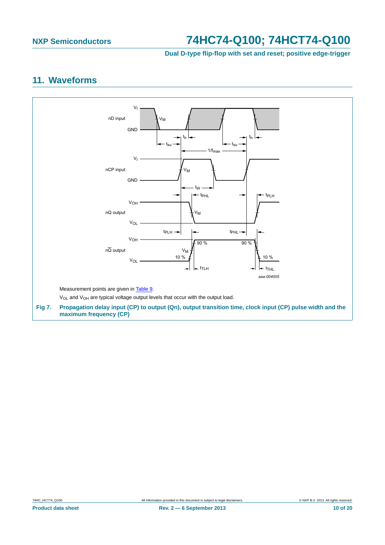**Dual D-type flip-flop with set and reset; positive edge-trigger**

## <span id="page-9-1"></span>**11. Waveforms**

<span id="page-9-0"></span>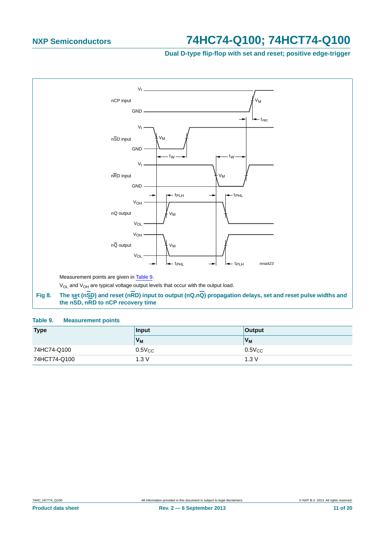**Dual D-type flip-flop with set and reset; positive edge-trigger**



#### <span id="page-10-1"></span><span id="page-10-0"></span>**Table 9. Measurement points**

| <b>Type</b>  | Input          | <b>Output</b> |
|--------------|----------------|---------------|
|              | V <sub>M</sub> | $V_M$         |
| 74HC74-Q100  | $0.5V_{CC}$    | $0.5V_{CC}$   |
| 74HCT74-Q100 | 1.3V           | 1.3V          |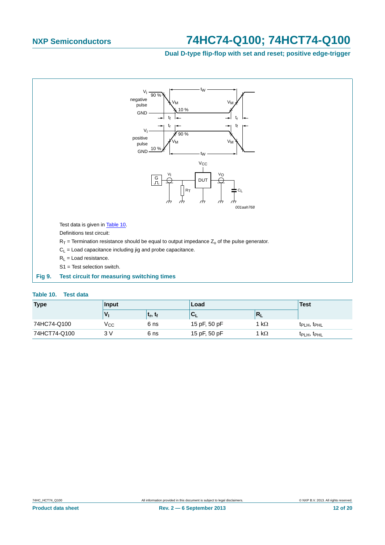## **Dual D-type flip-flop with set and reset; positive edge-trigger**



#### <span id="page-11-1"></span><span id="page-11-0"></span>**Table 10. Test data**

| <b>Type</b>  | Input |                                   | Load                |              | <b>Test</b>                         |
|--------------|-------|-----------------------------------|---------------------|--------------|-------------------------------------|
|              |       | ∣ t <sub>r</sub> , t <sub>f</sub> | ${}^{\dagger}C_{L}$ | $R_L$        |                                     |
| 74HC74-Q100  | Vcc   | 6 ns                              | 15 pF, 50 pF        | 1 k $\Omega$ | $t_{\text{PLH}}$ , $t_{\text{PHL}}$ |
| 74HCT74-Q100 | 3 V   | 6 ns                              | 15 pF, 50 pF        | 1 k $\Omega$ | t <sub>PLH</sub> , t <sub>PHL</sub> |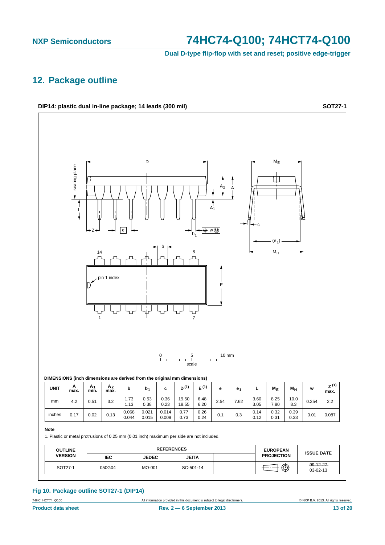**Dual D-type flip-flop with set and reset; positive edge-trigger**

## <span id="page-12-0"></span>**12. Package outline**

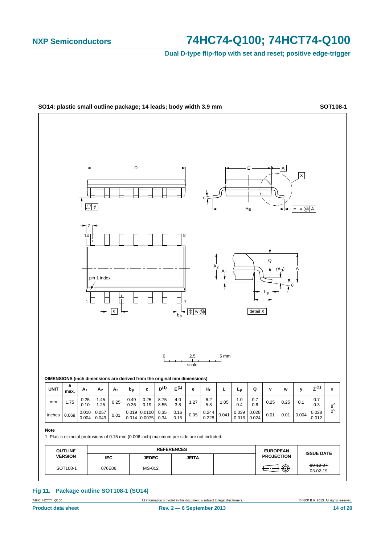**Dual D-type flip-flop with set and reset; positive edge-trigger**



### **Fig 11. Package outline SOT108-1 (SO14)**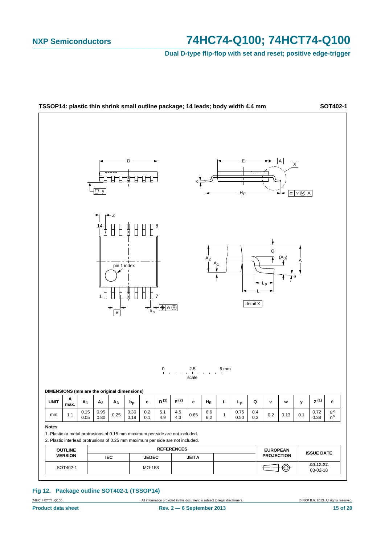**Dual D-type flip-flop with set and reset; positive edge-trigger**



#### **Fig 12. Package outline SOT402-1 (TSSOP14)**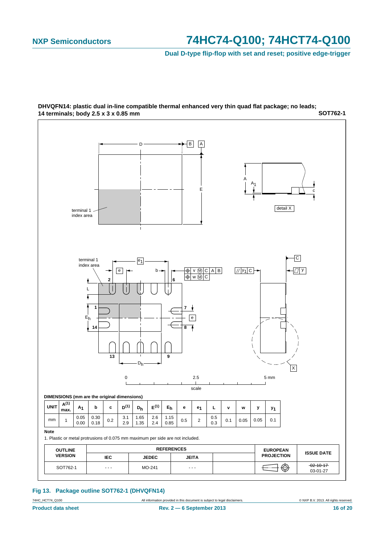**Dual D-type flip-flop with set and reset; positive edge-trigger**



**SOT762-1 DHVQFN14: plastic dual in-line compatible thermal enhanced very thin quad flat package; no leads; 14 terminals; body 2.5 x 3 x 0.85 mm**

#### **Fig 13. Package outline SOT762-1 (DHVQFN14)**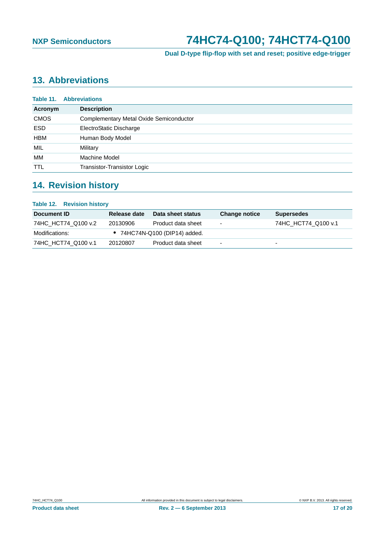**Dual D-type flip-flop with set and reset; positive edge-trigger**

## <span id="page-16-0"></span>**13. Abbreviations**

| Table 11.   | <b>Abbreviations</b>                    |
|-------------|-----------------------------------------|
| Acronym     | <b>Description</b>                      |
| <b>CMOS</b> | Complementary Metal Oxide Semiconductor |
| <b>ESD</b>  | ElectroStatic Discharge                 |
| <b>HBM</b>  | Human Body Model                        |
| MIL         | Military                                |
| МM          | Machine Model                           |
| <b>TTL</b>  | Transistor-Transistor Logic             |

## <span id="page-16-1"></span>**14. Revision history**

| <b>Table 12. Revision history</b> |              |                                       |                      |                          |
|-----------------------------------|--------------|---------------------------------------|----------------------|--------------------------|
| Document ID                       | Release date | Data sheet status                     | <b>Change notice</b> | <b>Supersedes</b>        |
| 74HC HCT74 Q100 v.2               | 20130906     | Product data sheet                    | ۰                    | 74HC HCT74 Q100 v.1      |
| Modifications:                    |              | $\bullet$ 74HC74N-Q100 (DIP14) added. |                      |                          |
| 74HC HCT74 Q100 v.1               | 20120807     | Product data sheet                    | -                    | $\overline{\phantom{0}}$ |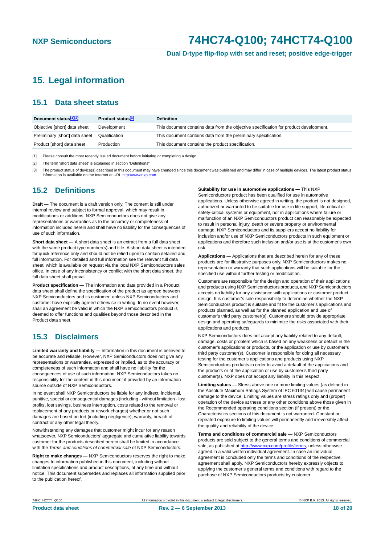**Dual D-type flip-flop with set and reset; positive edge-trigger**

## <span id="page-17-3"></span>**15. Legal information**

## <span id="page-17-4"></span>**15.1 Data sheet status**

| Document status[1][2]          | Product status <sup>[3]</sup> | <b>Definition</b>                                                                     |
|--------------------------------|-------------------------------|---------------------------------------------------------------------------------------|
| Objective [short] data sheet   | Development                   | This document contains data from the objective specification for product development. |
| Preliminary [short] data sheet | Qualification                 | This document contains data from the preliminary specification.                       |
| Product [short] data sheet     | Production                    | This document contains the product specification.                                     |

<span id="page-17-0"></span>[1] Please consult the most recently issued document before initiating or completing a design.

<span id="page-17-1"></span>[2] The term 'short data sheet' is explained in section "Definitions"

<span id="page-17-2"></span>[3] The product status of device(s) described in this document may have changed since this document was published and may differ in case of multiple devices. The latest product status<br>information is available on the Intern

## <span id="page-17-5"></span>**15.2 Definitions**

**Draft —** The document is a draft version only. The content is still under internal review and subject to formal approval, which may result in modifications or additions. NXP Semiconductors does not give any representations or warranties as to the accuracy or completeness of information included herein and shall have no liability for the consequences of use of such information.

**Short data sheet —** A short data sheet is an extract from a full data sheet with the same product type number(s) and title. A short data sheet is intended for quick reference only and should not be relied upon to contain detailed and full information. For detailed and full information see the relevant full data sheet, which is available on request via the local NXP Semiconductors sales office. In case of any inconsistency or conflict with the short data sheet, the full data sheet shall prevail.

**Product specification —** The information and data provided in a Product data sheet shall define the specification of the product as agreed between NXP Semiconductors and its customer, unless NXP Semiconductors and customer have explicitly agreed otherwise in writing. In no event however, shall an agreement be valid in which the NXP Semiconductors product is deemed to offer functions and qualities beyond those described in the Product data sheet.

## <span id="page-17-6"></span>**15.3 Disclaimers**

**Limited warranty and liability —** Information in this document is believed to be accurate and reliable. However, NXP Semiconductors does not give any representations or warranties, expressed or implied, as to the accuracy or completeness of such information and shall have no liability for the consequences of use of such information. NXP Semiconductors takes no responsibility for the content in this document if provided by an information source outside of NXP Semiconductors.

In no event shall NXP Semiconductors be liable for any indirect, incidental, punitive, special or consequential damages (including - without limitation - lost profits, lost savings, business interruption, costs related to the removal or replacement of any products or rework charges) whether or not such damages are based on tort (including negligence), warranty, breach of contract or any other legal theory.

Notwithstanding any damages that customer might incur for any reason whatsoever, NXP Semiconductors' aggregate and cumulative liability towards customer for the products described herein shall be limited in accordance with the *Terms and conditions of commercial sale* of NXP Semiconductors.

**Right to make changes —** NXP Semiconductors reserves the right to make changes to information published in this document, including without limitation specifications and product descriptions, at any time and without notice. This document supersedes and replaces all information supplied prior to the publication hereof.

#### **Suitability for use in automotive applications —** This NXP

Semiconductors product has been qualified for use in automotive applications. Unless otherwise agreed in writing, the product is not designed, authorized or warranted to be suitable for use in life support, life-critical or safety-critical systems or equipment, nor in applications where failure or malfunction of an NXP Semiconductors product can reasonably be expected to result in personal injury, death or severe property or environmental damage. NXP Semiconductors and its suppliers accept no liability for inclusion and/or use of NXP Semiconductors products in such equipment or applications and therefore such inclusion and/or use is at the customer's own risk.

**Applications —** Applications that are described herein for any of these products are for illustrative purposes only. NXP Semiconductors makes no representation or warranty that such applications will be suitable for the specified use without further testing or modification.

Customers are responsible for the design and operation of their applications and products using NXP Semiconductors products, and NXP Semiconductors accepts no liability for any assistance with applications or customer product design. It is customer's sole responsibility to determine whether the NXP Semiconductors product is suitable and fit for the customer's applications and products planned, as well as for the planned application and use of customer's third party customer(s). Customers should provide appropriate design and operating safeguards to minimize the risks associated with their applications and products.

NXP Semiconductors does not accept any liability related to any default, damage, costs or problem which is based on any weakness or default in the customer's applications or products, or the application or use by customer's third party customer(s). Customer is responsible for doing all necessary testing for the customer's applications and products using NXP Semiconductors products in order to avoid a default of the applications and the products or of the application or use by customer's third party customer(s). NXP does not accept any liability in this respect.

**Limiting values —** Stress above one or more limiting values (as defined in the Absolute Maximum Ratings System of IEC 60134) will cause permanent damage to the device. Limiting values are stress ratings only and (proper) operation of the device at these or any other conditions above those given in the Recommended operating conditions section (if present) or the Characteristics sections of this document is not warranted. Constant or repeated exposure to limiting values will permanently and irreversibly affect the quality and reliability of the device.

**Terms and conditions of commercial sale —** NXP Semiconductors products are sold subject to the general terms and conditions of commercial sale, as published at<http://www.nxp.com/profile/terms>, unless otherwise agreed in a valid written individual agreement. In case an individual agreement is concluded only the terms and conditions of the respective agreement shall apply. NXP Semiconductors hereby expressly objects to applying the customer's general terms and conditions with regard to the purchase of NXP Semiconductors products by customer.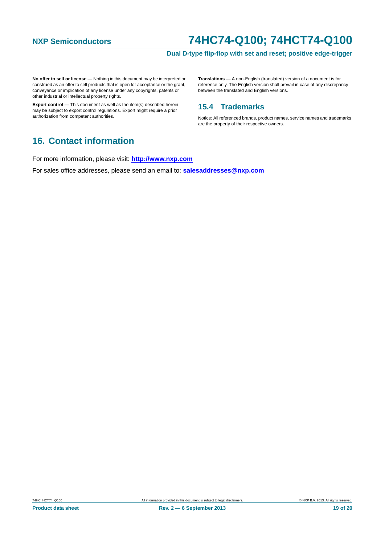### **Dual D-type flip-flop with set and reset; positive edge-trigger**

**No offer to sell or license —** Nothing in this document may be interpreted or construed as an offer to sell products that is open for acceptance or the grant, conveyance or implication of any license under any copyrights, patents or other industrial or intellectual property rights.

**Export control —** This document as well as the item(s) described herein may be subject to export control regulations. Export might require a prior authorization from competent authorities.

**Translations —** A non-English (translated) version of a document is for reference only. The English version shall prevail in case of any discrepancy between the translated and English versions.

## <span id="page-18-0"></span>**15.4 Trademarks**

Notice: All referenced brands, product names, service names and trademarks are the property of their respective owners.

## <span id="page-18-1"></span>**16. Contact information**

For more information, please visit: **http://www.nxp.com**

For sales office addresses, please send an email to: **salesaddresses@nxp.com**